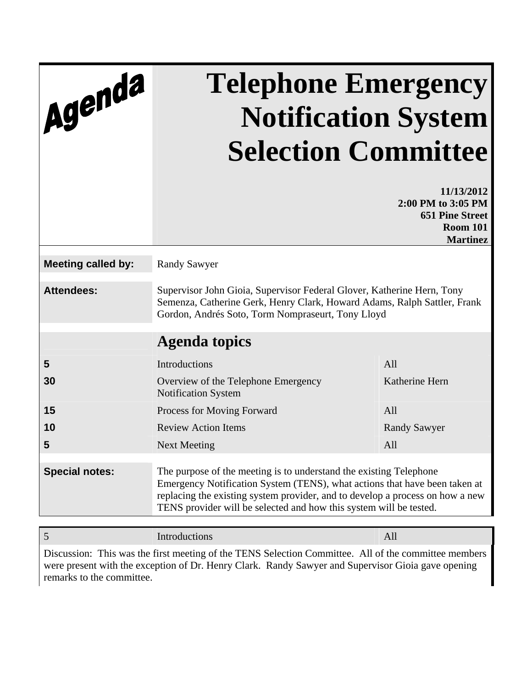| Agenda                    | <b>Telephone Emergency</b><br><b>Notification System</b><br><b>Selection Committee</b>                                                                                                                                                                                                                  |                                                                                                  |  |
|---------------------------|---------------------------------------------------------------------------------------------------------------------------------------------------------------------------------------------------------------------------------------------------------------------------------------------------------|--------------------------------------------------------------------------------------------------|--|
|                           |                                                                                                                                                                                                                                                                                                         | 11/13/2012<br>2:00 PM to 3:05 PM<br><b>651 Pine Street</b><br><b>Room 101</b><br><b>Martinez</b> |  |
| <b>Meeting called by:</b> | <b>Randy Sawyer</b>                                                                                                                                                                                                                                                                                     |                                                                                                  |  |
| <b>Attendees:</b>         | Supervisor John Gioia, Supervisor Federal Glover, Katherine Hern, Tony<br>Semenza, Catherine Gerk, Henry Clark, Howard Adams, Ralph Sattler, Frank<br>Gordon, Andrés Soto, Torm Nompraseurt, Tony Lloyd                                                                                                 |                                                                                                  |  |
|                           | <b>Agenda topics</b>                                                                                                                                                                                                                                                                                    |                                                                                                  |  |
| 5                         | Introductions                                                                                                                                                                                                                                                                                           | All                                                                                              |  |
| 30                        | Overview of the Telephone Emergency<br><b>Notification System</b>                                                                                                                                                                                                                                       | Katherine Hern                                                                                   |  |
| 15                        | Process for Moving Forward                                                                                                                                                                                                                                                                              | All                                                                                              |  |
| 10                        | <b>Review Action Items</b>                                                                                                                                                                                                                                                                              | <b>Randy Sawyer</b>                                                                              |  |
| 5                         | <b>Next Meeting</b>                                                                                                                                                                                                                                                                                     | All                                                                                              |  |
| <b>Special notes:</b>     | The purpose of the meeting is to understand the existing Telephone<br>Emergency Notification System (TENS), what actions that have been taken at<br>replacing the existing system provider, and to develop a process on how a new<br>TENS provider will be selected and how this system will be tested. |                                                                                                  |  |

Discussion: This was the first meeting of the TENS Selection Committee. All of the committee members were present with the exception of Dr. Henry Clark. Randy Sawyer and Supervisor Gioia gave opening remarks to the committee.

5 Introductions All